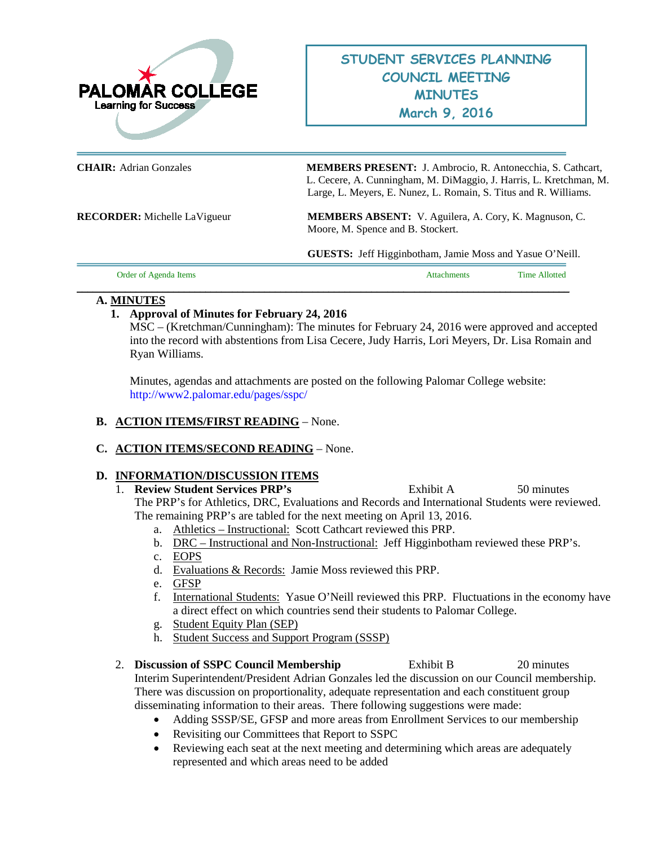

**CHAIR:** Adrian Gonzales **MEMBERS PRESENT:** J. Ambrocio, R. Antonecchia, S. Cathcart, L. Cecere, A. Cunningham, M. DiMaggio, J. Harris, L. Kretchman, M. Large, L. Meyers, E. Nunez, L. Romain, S. Titus and R. Williams.

**RECORDER:** Michelle LaVigueur **MEMBERS ABSENT:** V. Aguilera, A. Cory, K. Magnuson, C. Moore, M. Spence and B. Stockert.

**GUESTS:** Jeff Higginbotham, Jamie Moss and Yasue O'Neill.

| <br>- | --<br>$im\epsilon$ |
|-------|--------------------|
|       |                    |

### **A. MINUTES**

## **1. Approval of Minutes for February 24, 2016**

MSC – (Kretchman/Cunningham): The minutes for February 24, 2016 were approved and accepted into the record with abstentions from Lisa Cecere, Judy Harris, Lori Meyers, Dr. Lisa Romain and Ryan Williams.

Minutes, agendas and attachments are posted on the following Palomar College website: <http://www2.palomar.edu/pages/sspc/>

### **B. ACTION ITEMS/FIRST READING** – None.

## **C. ACTION ITEMS/SECOND READING** – None.

## **D. INFORMATION/DISCUSSION ITEMS**

1. **Review Student Services PRP's** Exhibit A 50 minutes

The PRP's for Athletics, DRC, Evaluations and Records and International Students were reviewed. The remaining PRP's are tabled for the next meeting on April 13, 2016.

- a. Athletics Instructional: Scott Cathcart reviewed this PRP.
- b. DRC Instructional and Non-Instructional: Jeff Higginbotham reviewed these PRP's.
- c. EOPS
- d. Evaluations & Records: Jamie Moss reviewed this PRP.
- e. GFSP
- f. International Students: Yasue O'Neill reviewed this PRP. Fluctuations in the economy have a direct effect on which countries send their students to Palomar College.
- g. Student Equity Plan (SEP)
- h. Student Success and Support Program (SSSP)

2. **Discussion of SSPC Council Membership** Exhibit B 20 minutes Interim Superintendent/President Adrian Gonzales led the discussion on our Council membership. There was discussion on proportionality, adequate representation and each constituent group disseminating information to their areas. There following suggestions were made:

- Adding SSSP/SE, GFSP and more areas from Enrollment Services to our membership
- Revisiting our Committees that Report to SSPC
- Reviewing each seat at the next meeting and determining which areas are adequately represented and which areas need to be added